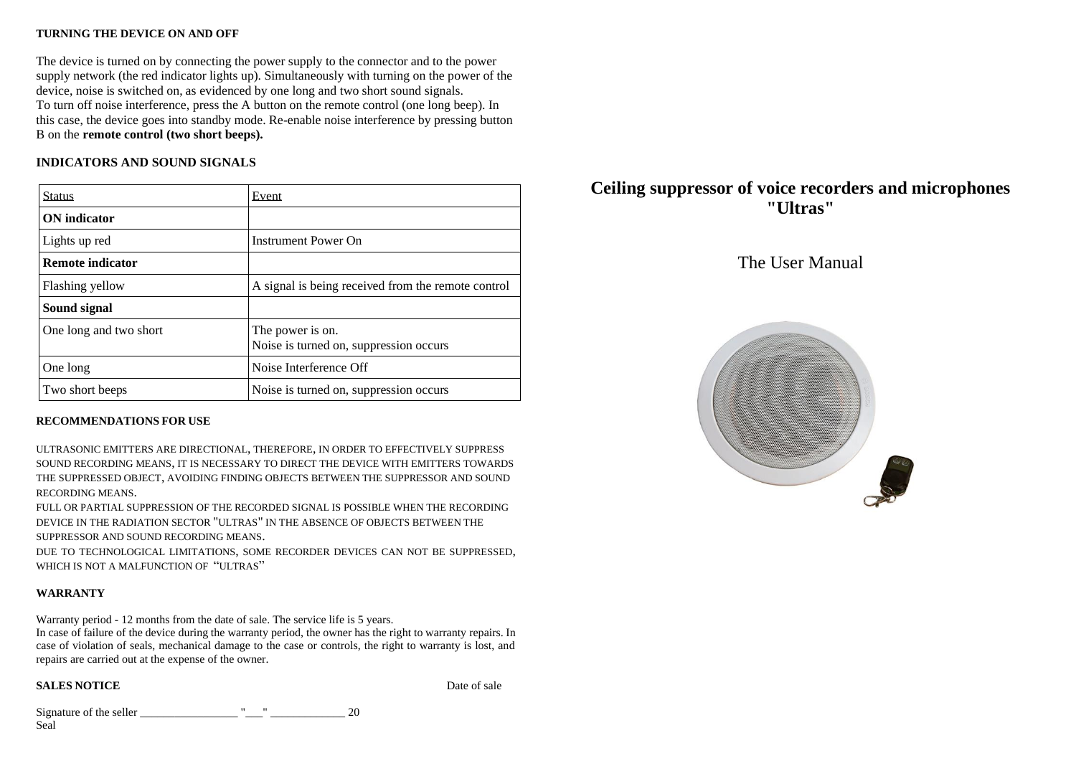#### **TURNING THE DEVICE ON AND OFF**

The device is turned on by connecting the power supply to the connector and to the power supply network (the red indicator lights up). Simultaneously with turning on the power of the device, noise is switched on, as evidenced by one long and two short sound signals. To turn off noise interference, press the A button on the remote control (one long beep). In this case, the device goes into standby mode. Re-enable noise interference by pressing button B on the **remote control (two short beeps).**

## **INDICATORS AND SOUND SIGNALS**

| <b>Status</b>           | Event                                                      |
|-------------------------|------------------------------------------------------------|
| <b>ON</b> indicator     |                                                            |
| Lights up red           | Instrument Power On                                        |
| <b>Remote indicator</b> |                                                            |
| Flashing yellow         | A signal is being received from the remote control         |
| Sound signal            |                                                            |
| One long and two short  | The power is on.<br>Noise is turned on, suppression occurs |
| One long                | Noise Interference Off                                     |
| Two short beeps         | Noise is turned on, suppression occurs                     |

### **RECOMMENDATIONS FOR USE**

ULTRASONIC EMITTERS ARE DIRECTIONAL, THEREFORE, IN ORDER TO EFFECTIVELY SUPPRESS SOUND RECORDING MEANS, IT IS NECESSARY TO DIRECT THE DEVICE WITH EMITTERS TOWARDS THE SUPPRESSED OBJECT, AVOIDING FINDING OBJECTS BETWEEN THE SUPPRESSOR AND SOUND RECORDING MEANS.

FULL OR PARTIAL SUPPRESSION OF THE RECORDED SIGNAL IS POSSIBLE WHEN THE RECORDING DEVICE IN THE RADIATION SECTOR "ULTRAS" IN THE ABSENCE OF OBJECTS BETWEEN THE SUPPRESSOR AND SOUND RECORDING MEANS.

DUE TO TECHNOLOGICAL LIMITATIONS, SOME RECORDER DEVICES CAN NOT BE SUPPRESSED, WHICH IS NOT A MALFUNCTION OF "ULTRAS"

### **WARRANTY**

Warranty period - 12 months from the date of sale. The service life is 5 years.

In case of failure of the device during the warranty period, the owner has the right to warranty repairs. In case of violation of seals, mechanical damage to the case or controls, the right to warranty is lost, and repairs are carried out at the expense of the owner.

### **SALES NOTICE** Date of sale

Signature of the seller  $\frac{1}{20}$   $\frac{1}{20}$ Seal

# **Ceiling suppressor of voice recorders and microphones "Ultras"**

# The User Manual